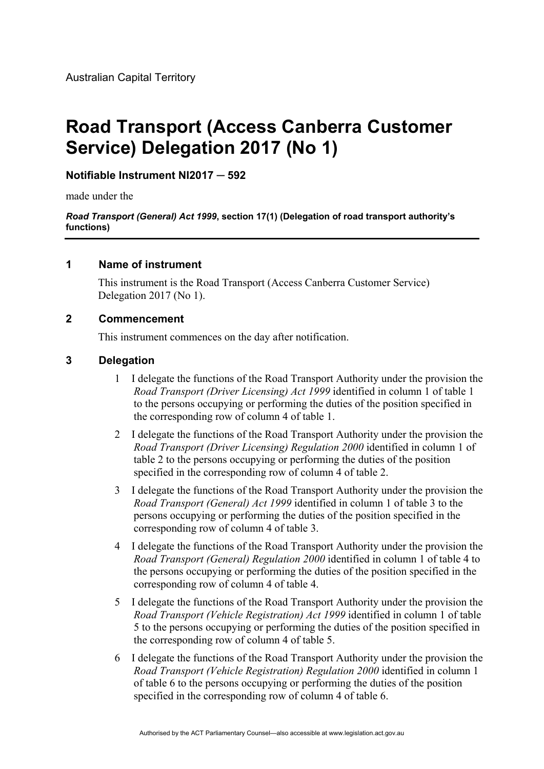# **Road Transport (Access Canberra Customer Service) Delegation 2017 (No 1)**

## **Notifiable Instrument NI2017 ─ 592**

made under the

*Road Transport (General) Act 1999***, section 17(1) (Delegation of road transport authority's functions)** 

#### **1 Name of instrument**

This instrument is the Road Transport (Access Canberra Customer Service) Delegation 2017 (No 1).

### **2 Commencement**

This instrument commences on the day after notification.

#### **3 Delegation**

- 1 I delegate the functions of the Road Transport Authority under the provision the *Road Transport (Driver Licensing) Act 1999* identified in column 1 of table 1 to the persons occupying or performing the duties of the position specified in the corresponding row of column 4 of table 1.
- 2 I delegate the functions of the Road Transport Authority under the provision the *Road Transport (Driver Licensing) Regulation 2000* identified in column 1 of table 2 to the persons occupying or performing the duties of the position specified in the corresponding row of column 4 of table 2.
- 3 I delegate the functions of the Road Transport Authority under the provision the *Road Transport (General) Act 1999* identified in column 1 of table 3 to the persons occupying or performing the duties of the position specified in the corresponding row of column 4 of table 3.
- 4 I delegate the functions of the Road Transport Authority under the provision the *Road Transport (General) Regulation 2000* identified in column 1 of table 4 to the persons occupying or performing the duties of the position specified in the corresponding row of column 4 of table 4.
- 5 I delegate the functions of the Road Transport Authority under the provision the *Road Transport (Vehicle Registration) Act 1999* identified in column 1 of table 5 to the persons occupying or performing the duties of the position specified in the corresponding row of column 4 of table 5.
- 6 I delegate the functions of the Road Transport Authority under the provision the *Road Transport (Vehicle Registration) Regulation 2000* identified in column 1 of table 6 to the persons occupying or performing the duties of the position specified in the corresponding row of column 4 of table 6.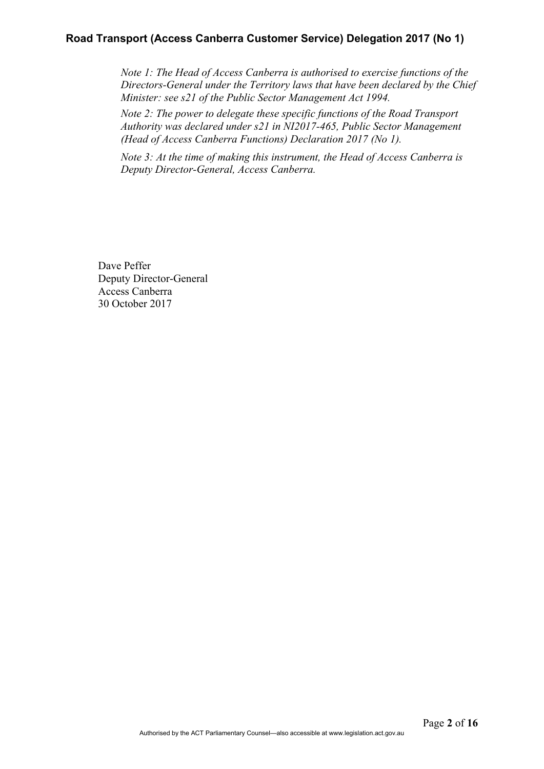## **Road Transport (Access Canberra Customer Service) Delegation 2017 (No 1)**

*Note 1: The Head of Access Canberra is authorised to exercise functions of the Directors-General under the Territory laws that have been declared by the Chief Minister: see s21 of the Public Sector Management Act 1994.* 

*Note 2: The power to delegate these specific functions of the Road Transport Authority was declared under s21 in NI2017-465, Public Sector Management (Head of Access Canberra Functions) Declaration 2017 (No 1).* 

*Note 3: At the time of making this instrument, the Head of Access Canberra is Deputy Director-General, Access Canberra.*

Dave Peffer Deputy Director-General Access Canberra 30 October 2017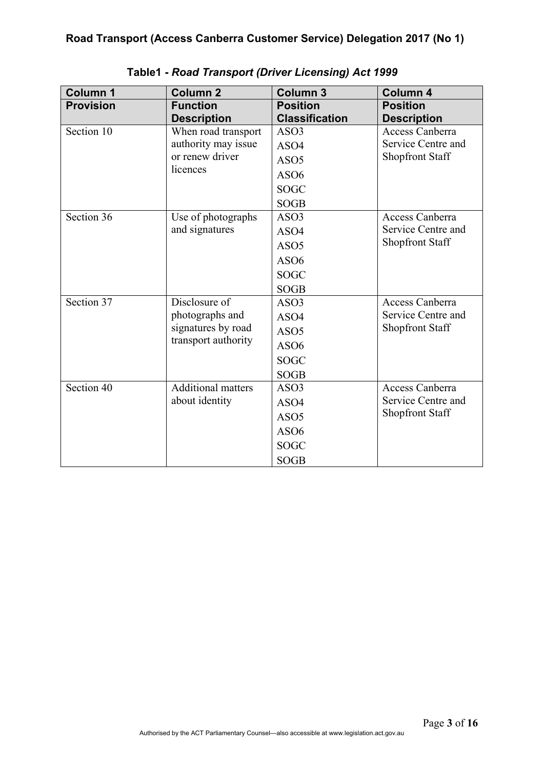| <b>Column 1</b>  | <b>Column 2</b>           | <b>Column 3</b>       | <b>Column 4</b>        |
|------------------|---------------------------|-----------------------|------------------------|
| <b>Provision</b> | <b>Function</b>           | <b>Position</b>       | <b>Position</b>        |
|                  | <b>Description</b>        | <b>Classification</b> | <b>Description</b>     |
| Section 10       | When road transport       | ASO <sub>3</sub>      | Access Canberra        |
|                  | authority may issue       | ASO4                  | Service Centre and     |
|                  | or renew driver           | ASO <sub>5</sub>      | <b>Shopfront Staff</b> |
|                  | licences                  | ASO <sub>6</sub>      |                        |
|                  |                           | <b>SOGC</b>           |                        |
|                  |                           | <b>SOGB</b>           |                        |
| Section 36       | Use of photographs        | ASO3                  | Access Canberra        |
|                  | and signatures            | ASO4                  | Service Centre and     |
|                  |                           | ASO <sub>5</sub>      | <b>Shopfront Staff</b> |
|                  |                           | ASO <sub>6</sub>      |                        |
|                  |                           | <b>SOGC</b>           |                        |
|                  |                           | <b>SOGB</b>           |                        |
| Section 37       | Disclosure of             | ASO3                  | Access Canberra        |
|                  | photographs and           | ASO4                  | Service Centre and     |
|                  | signatures by road        | ASO <sub>5</sub>      | <b>Shopfront Staff</b> |
|                  | transport authority       | ASO <sub>6</sub>      |                        |
|                  |                           | <b>SOGC</b>           |                        |
|                  |                           | <b>SOGB</b>           |                        |
| Section 40       | <b>Additional matters</b> | ASO3                  | Access Canberra        |
|                  | about identity            | ASO4                  | Service Centre and     |
|                  |                           | ASO <sub>5</sub>      | <b>Shopfront Staff</b> |
|                  |                           | ASO <sub>6</sub>      |                        |
|                  |                           | <b>SOGC</b>           |                        |
|                  |                           | <b>SOGB</b>           |                        |

**Table1 -** *Road Transport (Driver Licensing) Act 1999*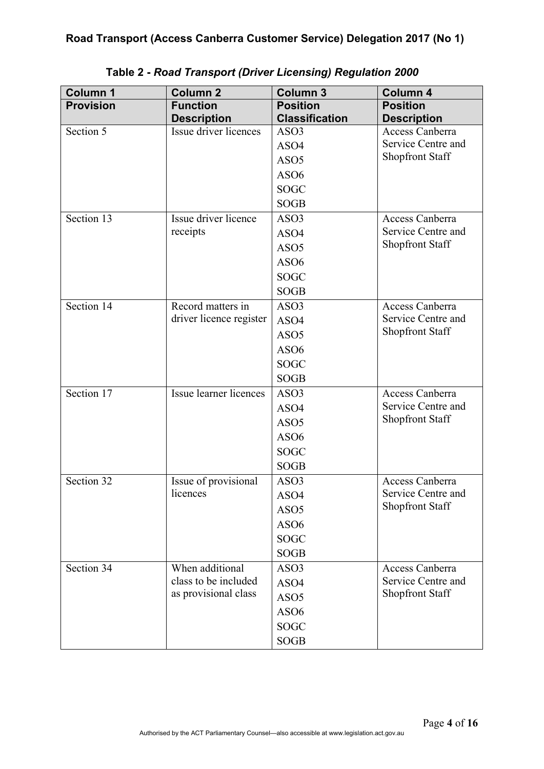| <b>Column 1</b>  | <b>Column 2</b>         | <b>Column 3</b>       | Column 4               |
|------------------|-------------------------|-----------------------|------------------------|
| <b>Provision</b> | <b>Function</b>         | <b>Position</b>       | <b>Position</b>        |
|                  | <b>Description</b>      | <b>Classification</b> | <b>Description</b>     |
| Section 5        | Issue driver licences   | ASO <sub>3</sub>      | Access Canberra        |
|                  |                         | ASO4                  | Service Centre and     |
|                  |                         | ASO <sub>5</sub>      | <b>Shopfront Staff</b> |
|                  |                         | ASO6                  |                        |
|                  |                         | <b>SOGC</b>           |                        |
|                  |                         | <b>SOGB</b>           |                        |
| Section 13       | Issue driver licence    | ASO3                  | Access Canberra        |
|                  | receipts                | ASO4                  | Service Centre and     |
|                  |                         | ASO <sub>5</sub>      | Shopfront Staff        |
|                  |                         | ASO6                  |                        |
|                  |                         | <b>SOGC</b>           |                        |
|                  |                         | <b>SOGB</b>           |                        |
| Section 14       | Record matters in       | ASO3                  | Access Canberra        |
|                  | driver licence register | ASO4                  | Service Centre and     |
|                  |                         | ASO <sub>5</sub>      | <b>Shopfront Staff</b> |
|                  |                         | ASO6                  |                        |
|                  |                         | <b>SOGC</b>           |                        |
|                  |                         | <b>SOGB</b>           |                        |
| Section 17       | Issue learner licences  | ASO3                  | Access Canberra        |
|                  |                         | ASO4                  | Service Centre and     |
|                  |                         | ASO <sub>5</sub>      | <b>Shopfront Staff</b> |
|                  |                         | ASO <sub>6</sub>      |                        |
|                  |                         | <b>SOGC</b>           |                        |
|                  |                         | <b>SOGB</b>           |                        |
| Section 32       | Issue of provisional    | ASO3                  | Access Canberra        |
|                  | licences                | ASO4                  | Service Centre and     |
|                  |                         | ASO <sub>5</sub>      | <b>Shopfront Staff</b> |
|                  |                         | ASO <sub>6</sub>      |                        |
|                  |                         | <b>SOGC</b>           |                        |
|                  |                         | <b>SOGB</b>           |                        |
| Section 34       | When additional         | ASO3                  | Access Canberra        |
|                  | class to be included    | ASO4                  | Service Centre and     |
|                  | as provisional class    | ASO <sub>5</sub>      | <b>Shopfront Staff</b> |
|                  |                         | ASO6                  |                        |
|                  |                         | <b>SOGC</b>           |                        |
|                  |                         | <b>SOGB</b>           |                        |

# **Table 2 -** *Road Transport (Driver Licensing) Regulation 2000*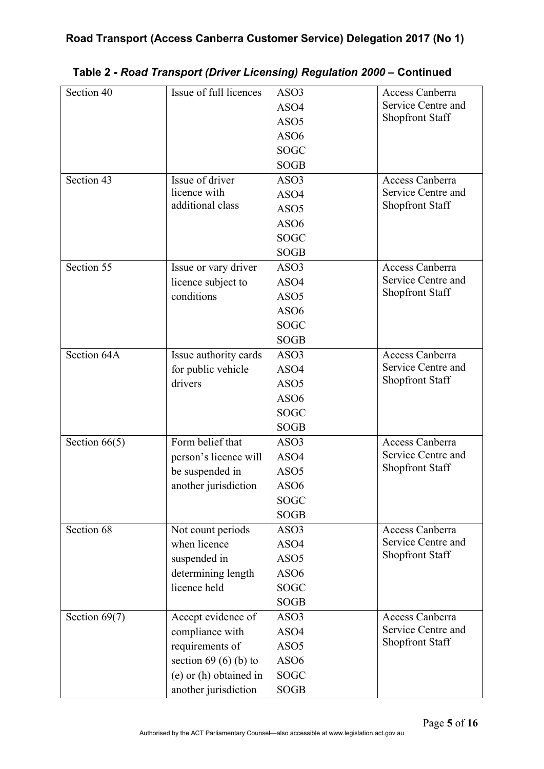| Section 40      | Issue of full licences | ASO <sub>3</sub> | Access Canberra                       |
|-----------------|------------------------|------------------|---------------------------------------|
|                 |                        | ASO4             | Service Centre and                    |
|                 |                        | ASO <sub>5</sub> | <b>Shopfront Staff</b>                |
|                 |                        | ASO <sub>6</sub> |                                       |
|                 |                        | <b>SOGC</b>      |                                       |
|                 |                        | <b>SOGB</b>      |                                       |
| Section 43      | Issue of driver        | ASO3             | <b>Access Canberra</b>                |
|                 | licence with           | ASO4             | Service Centre and                    |
|                 | additional class       | ASO <sub>5</sub> | Shopfront Staff                       |
|                 |                        | ASO <sub>6</sub> |                                       |
|                 |                        | <b>SOGC</b>      |                                       |
|                 |                        | <b>SOGB</b>      |                                       |
| Section 55      | Issue or vary driver   | ASO3             | Access Canberra                       |
|                 | licence subject to     | ASO4             | Service Centre and                    |
|                 | conditions             | ASO <sub>5</sub> | Shopfront Staff                       |
|                 |                        | ASO <sub>6</sub> |                                       |
|                 |                        | <b>SOGC</b>      |                                       |
|                 |                        | <b>SOGB</b>      |                                       |
| Section 64A     | Issue authority cards  | ASO3             | Access Canberra                       |
|                 | for public vehicle     | ASO4             | Service Centre and                    |
|                 | drivers                | ASO <sub>5</sub> | Shopfront Staff                       |
|                 |                        | ASO <sub>6</sub> |                                       |
|                 |                        | <b>SOGC</b>      |                                       |
|                 |                        | <b>SOGB</b>      |                                       |
| Section $66(5)$ | Form belief that       | ASO3             | Access Canberra                       |
|                 | person's licence will  | ASO4             | Service Centre and                    |
|                 | be suspended in        | ASO <sub>5</sub> | <b>Shopfront Staff</b>                |
|                 | another jurisdiction   | ASO6             |                                       |
|                 |                        | <b>SOGC</b>      |                                       |
|                 |                        | <b>SOGB</b>      |                                       |
| Section 68      | Not count periods      | ASO <sub>3</sub> | Access Canberra                       |
|                 | when licence           | ASO4             | Service Centre and                    |
|                 | suspended in           | ASO <sub>5</sub> | <b>Shopfront Staff</b>                |
|                 | determining length     | ASO <sub>6</sub> |                                       |
|                 | licence held           | <b>SOGC</b>      |                                       |
|                 |                        | <b>SOGB</b>      |                                       |
|                 |                        |                  |                                       |
| Section 69(7)   | Accept evidence of     | ASO <sub>3</sub> | Access Canberra<br>Service Centre and |
|                 | compliance with        | ASO4             | <b>Shopfront Staff</b>                |
|                 | requirements of        | ASO <sub>5</sub> |                                       |
|                 | section $69(6)(b)$ to  | ASO <sub>6</sub> |                                       |
|                 | (e) or (h) obtained in | <b>SOGC</b>      |                                       |
|                 | another jurisdiction   | <b>SOGB</b>      |                                       |

## **Table 2 -** *Road Transport (Driver Licensing) Regulation 2000* **– Continued**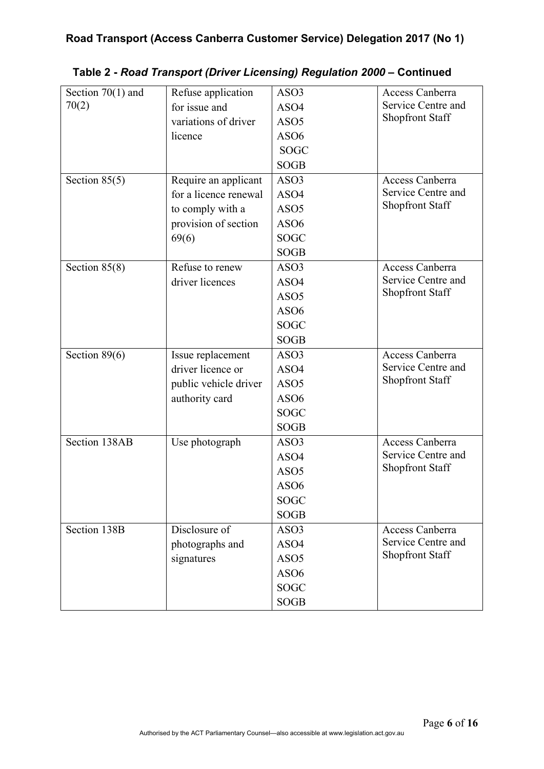| Section $70(1)$ and | Refuse application    | ASO3             | Access Canberra        |
|---------------------|-----------------------|------------------|------------------------|
| 70(2)               | for issue and         | ASO4             | Service Centre and     |
|                     | variations of driver  | ASO <sub>5</sub> | <b>Shopfront Staff</b> |
|                     | licence               | ASO <sub>6</sub> |                        |
|                     |                       | <b>SOGC</b>      |                        |
|                     |                       | <b>SOGB</b>      |                        |
| Section $85(5)$     | Require an applicant  | ASO3             | Access Canberra        |
|                     | for a licence renewal | ASO4             | Service Centre and     |
|                     | to comply with a      | ASO <sub>5</sub> | <b>Shopfront Staff</b> |
|                     | provision of section  | ASO <sub>6</sub> |                        |
|                     | 69(6)                 | SOGC             |                        |
|                     |                       | <b>SOGB</b>      |                        |
| Section $85(8)$     | Refuse to renew       | ASO3             | Access Canberra        |
|                     | driver licences       | ASO4             | Service Centre and     |
|                     |                       | ASO <sub>5</sub> | <b>Shopfront Staff</b> |
|                     |                       | ASO <sub>6</sub> |                        |
|                     |                       | <b>SOGC</b>      |                        |
|                     |                       | <b>SOGB</b>      |                        |
| Section $89(6)$     | Issue replacement     | ASO3             | <b>Access Canberra</b> |
|                     | driver licence or     | ASO4             | Service Centre and     |
|                     | public vehicle driver | ASO <sub>5</sub> | Shopfront Staff        |
|                     | authority card        | ASO <sub>6</sub> |                        |
|                     |                       | <b>SOGC</b>      |                        |
|                     |                       | <b>SOGB</b>      |                        |
| Section 138AB       | Use photograph        | ASO3             | Access Canberra        |
|                     |                       | ASO4             | Service Centre and     |
|                     |                       | ASO <sub>5</sub> | <b>Shopfront Staff</b> |
|                     |                       | ASO <sub>6</sub> |                        |
|                     |                       | <b>SOGC</b>      |                        |
|                     |                       | <b>SOGB</b>      |                        |
| Section 138B        | Disclosure of         | ASO3             | Access Canberra        |
|                     | photographs and       | ASO4             | Service Centre and     |
|                     | signatures            | ASO <sub>5</sub> | <b>Shopfront Staff</b> |
|                     |                       | ASO <sub>6</sub> |                        |
|                     |                       | <b>SOGC</b>      |                        |
|                     |                       | <b>SOGB</b>      |                        |
|                     |                       |                  |                        |

# **Table 2 -** *Road Transport (Driver Licensing) Regulation 2000* **– Continued**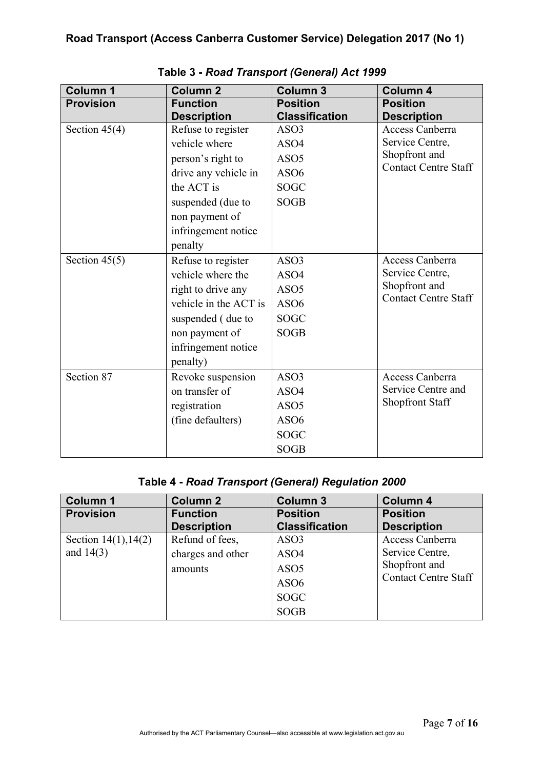| <b>Column 1</b>  | <b>Column 2</b>       | <b>Column 3</b>       | Column 4                    |
|------------------|-----------------------|-----------------------|-----------------------------|
| <b>Provision</b> | <b>Function</b>       | <b>Position</b>       | <b>Position</b>             |
|                  | <b>Description</b>    | <b>Classification</b> | <b>Description</b>          |
| Section $45(4)$  | Refuse to register    | ASO3                  | Access Canberra             |
|                  | vehicle where         | ASO4                  | Service Centre,             |
|                  | person's right to     | ASO <sub>5</sub>      | Shopfront and               |
|                  | drive any vehicle in  | ASO <sub>6</sub>      | <b>Contact Centre Staff</b> |
|                  | the ACT is            | <b>SOGC</b>           |                             |
|                  | suspended (due to     | <b>SOGB</b>           |                             |
|                  | non payment of        |                       |                             |
|                  | infringement notice   |                       |                             |
|                  | penalty               |                       |                             |
| Section $45(5)$  | Refuse to register    | ASO3                  | Access Canberra             |
|                  | vehicle where the     | ASO4                  | Service Centre,             |
|                  | right to drive any    | ASO <sub>5</sub>      | Shopfront and               |
|                  | vehicle in the ACT is | ASO <sub>6</sub>      | <b>Contact Centre Staff</b> |
|                  | suspended (due to     | <b>SOGC</b>           |                             |
|                  | non payment of        | <b>SOGB</b>           |                             |
|                  | infringement notice   |                       |                             |
|                  | penalty)              |                       |                             |
| Section 87       | Revoke suspension     | ASO3                  | Access Canberra             |
|                  | on transfer of        | ASO4                  | Service Centre and          |
|                  | registration          | ASO <sub>5</sub>      | <b>Shopfront Staff</b>      |
|                  | (fine defaulters)     | ASO <sub>6</sub>      |                             |
|                  |                       | <b>SOGC</b>           |                             |
|                  |                       | <b>SOGB</b>           |                             |

**Table 3 -** *Road Transport (General) Act 1999*

# **Table 4 -** *Road Transport (General) Regulation 2000*

| <b>Column 1</b>           | <b>Column 2</b>    | <b>Column 3</b>       | <b>Column 4</b>             |
|---------------------------|--------------------|-----------------------|-----------------------------|
| <b>Provision</b>          | <b>Function</b>    | <b>Position</b>       | <b>Position</b>             |
|                           | <b>Description</b> | <b>Classification</b> | <b>Description</b>          |
| Section $14(1)$ , $14(2)$ | Refund of fees,    | ASO3                  | Access Canberra             |
| and $14(3)$               | charges and other  | ASO4                  | Service Centre,             |
|                           | amounts            | ASO <sub>5</sub>      | Shopfront and               |
|                           |                    | ASO <sub>6</sub>      | <b>Contact Centre Staff</b> |
|                           |                    | <b>SOGC</b>           |                             |
|                           |                    | <b>SOGB</b>           |                             |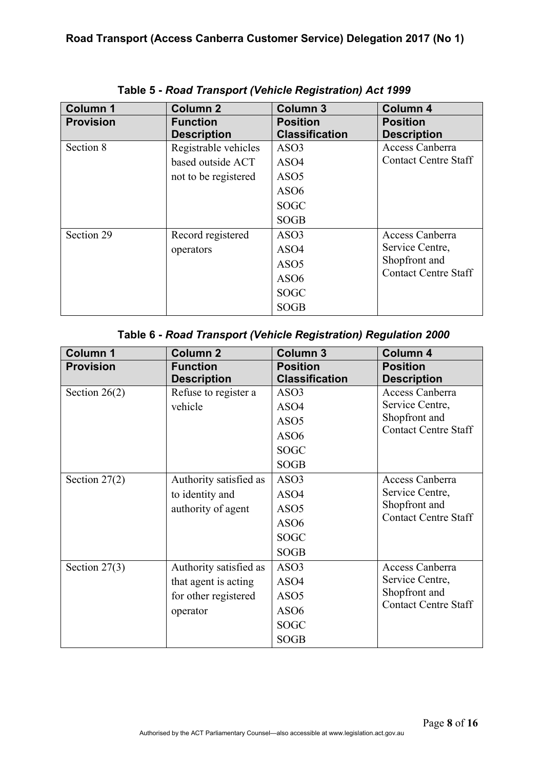| <b>Column 1</b>  | <b>Column 2</b>      | <b>Column 3</b>       | <b>Column 4</b>             |
|------------------|----------------------|-----------------------|-----------------------------|
| <b>Provision</b> | <b>Function</b>      | <b>Position</b>       | <b>Position</b>             |
|                  | <b>Description</b>   | <b>Classification</b> | <b>Description</b>          |
| Section 8        | Registrable vehicles | ASO3                  | Access Canberra             |
|                  | based outside ACT    | ASO4                  | <b>Contact Centre Staff</b> |
|                  | not to be registered | ASO <sub>5</sub>      |                             |
|                  |                      | ASO <sub>6</sub>      |                             |
|                  |                      | <b>SOGC</b>           |                             |
|                  |                      | <b>SOGB</b>           |                             |
| Section 29       | Record registered    | ASO3                  | Access Canberra             |
|                  | operators            | ASO4                  | Service Centre,             |
|                  |                      | ASO <sub>5</sub>      | Shopfront and               |
|                  |                      | ASO <sub>6</sub>      | <b>Contact Centre Staff</b> |
|                  |                      | <b>SOGC</b>           |                             |
|                  |                      | <b>SOGB</b>           |                             |

# **Table 5 -** *Road Transport (Vehicle Registration) Act 1999*

| Table 6 - Road Transport (Vehicle Registration) Regulation 2000 |  |  |
|-----------------------------------------------------------------|--|--|
|-----------------------------------------------------------------|--|--|

| <b>Column 1</b>  | <b>Column 2</b>        | <b>Column 3</b>       | Column 4                    |
|------------------|------------------------|-----------------------|-----------------------------|
| <b>Provision</b> | <b>Function</b>        | <b>Position</b>       | <b>Position</b>             |
|                  | <b>Description</b>     | <b>Classification</b> | <b>Description</b>          |
| Section $26(2)$  | Refuse to register a   | ASO3                  | Access Canberra             |
|                  | vehicle                | ASO4                  | Service Centre,             |
|                  |                        | ASO <sub>5</sub>      | Shopfront and               |
|                  |                        | ASO <sub>6</sub>      | <b>Contact Centre Staff</b> |
|                  |                        | <b>SOGC</b>           |                             |
|                  |                        | <b>SOGB</b>           |                             |
| Section $27(2)$  | Authority satisfied as | ASO3                  | Access Canberra             |
|                  | to identity and        | ASO4                  | Service Centre,             |
|                  | authority of agent     | ASO <sub>5</sub>      | Shopfront and               |
|                  |                        | ASO <sub>6</sub>      | <b>Contact Centre Staff</b> |
|                  |                        | <b>SOGC</b>           |                             |
|                  |                        | <b>SOGB</b>           |                             |
| Section $27(3)$  | Authority satisfied as | ASO <sub>3</sub>      | Access Canberra             |
|                  | that agent is acting   | ASO4                  | Service Centre,             |
|                  | for other registered   | ASO <sub>5</sub>      | Shopfront and               |
|                  | operator               | ASO <sub>6</sub>      | <b>Contact Centre Staff</b> |
|                  |                        | <b>SOGC</b>           |                             |
|                  |                        | <b>SOGB</b>           |                             |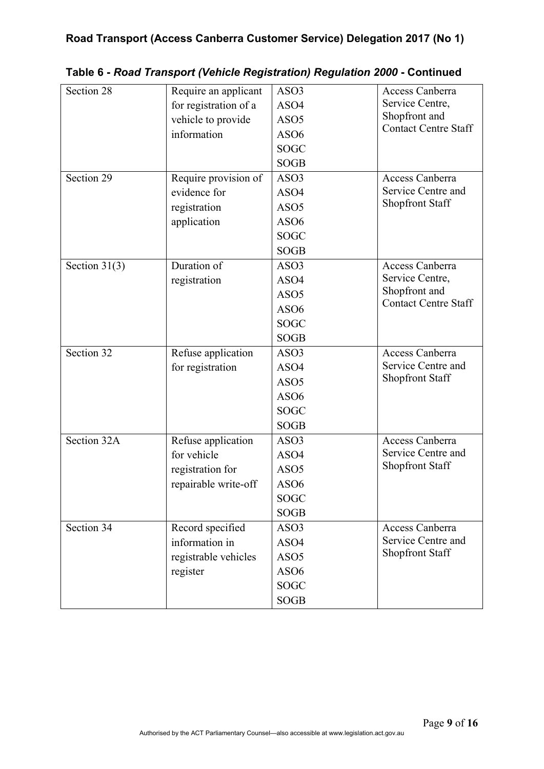| Section 28      |                       | ASO3             | Access Canberra                       |
|-----------------|-----------------------|------------------|---------------------------------------|
|                 | Require an applicant  |                  | Service Centre,                       |
|                 | for registration of a | ASO4             | Shopfront and                         |
|                 | vehicle to provide    | ASO <sub>5</sub> | <b>Contact Centre Staff</b>           |
|                 | information           | ASO <sub>6</sub> |                                       |
|                 |                       | <b>SOGC</b>      |                                       |
|                 |                       | <b>SOGB</b>      |                                       |
| Section 29      | Require provision of  | ASO3             | Access Canberra                       |
|                 | evidence for          | ASO4             | Service Centre and                    |
|                 | registration          | ASO <sub>5</sub> | Shopfront Staff                       |
|                 | application           | ASO <sub>6</sub> |                                       |
|                 |                       | <b>SOGC</b>      |                                       |
|                 |                       | <b>SOGB</b>      |                                       |
| Section $31(3)$ | Duration of           | ASO3             | Access Canberra                       |
|                 | registration          | ASO4             | Service Centre,                       |
|                 |                       | ASO <sub>5</sub> | Shopfront and                         |
|                 |                       | ASO <sub>6</sub> | <b>Contact Centre Staff</b>           |
|                 |                       | <b>SOGC</b>      |                                       |
|                 |                       | <b>SOGB</b>      |                                       |
| Section 32      | Refuse application    | ASO3             | Access Canberra                       |
|                 | for registration      | ASO4             | Service Centre and                    |
|                 |                       | ASO <sub>5</sub> | Shopfront Staff                       |
|                 |                       | ASO <sub>6</sub> |                                       |
|                 |                       | <b>SOGC</b>      |                                       |
|                 |                       | <b>SOGB</b>      |                                       |
| Section 32A     | Refuse application    | ASO3             | Access Canberra                       |
|                 | for vehicle           | ASO4             | Service Centre and                    |
|                 | registration for      | ASO <sub>5</sub> | <b>Shopfront Staff</b>                |
|                 | repairable write-off  | ASO <sub>6</sub> |                                       |
|                 |                       | SOGC             |                                       |
|                 |                       |                  |                                       |
|                 |                       | <b>SOGB</b>      |                                       |
| Section 34      | Record specified      | ASO3             | Access Canberra<br>Service Centre and |
|                 | information in        | ASO4             | <b>Shopfront Staff</b>                |
|                 | registrable vehicles  | ASO <sub>5</sub> |                                       |
|                 | register              | ASO <sub>6</sub> |                                       |
|                 |                       | <b>SOGC</b>      |                                       |
|                 |                       | <b>SOGB</b>      |                                       |

**Table 6 -** *Road Transport (Vehicle Registration) Regulation 2000* **- Continued**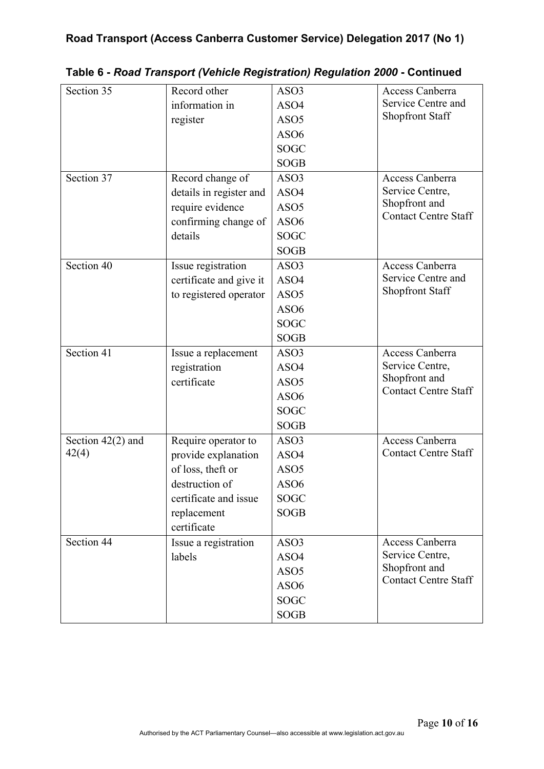| Section 35          | Record other            | ASO3             | Access Canberra             |
|---------------------|-------------------------|------------------|-----------------------------|
|                     | information in          | ASO4             | Service Centre and          |
|                     | register                | ASO <sub>5</sub> | <b>Shopfront Staff</b>      |
|                     |                         | ASO <sub>6</sub> |                             |
|                     |                         | <b>SOGC</b>      |                             |
|                     |                         | <b>SOGB</b>      |                             |
| Section 37          | Record change of        | ASO3             | Access Canberra             |
|                     | details in register and | ASO4             | Service Centre,             |
|                     | require evidence        | ASO <sub>5</sub> | Shopfront and               |
|                     | confirming change of    | ASO <sub>6</sub> | <b>Contact Centre Staff</b> |
|                     | details                 | <b>SOGC</b>      |                             |
|                     |                         | <b>SOGB</b>      |                             |
| Section 40          | Issue registration      | ASO3             | Access Canberra             |
|                     | certificate and give it | ASO4             | Service Centre and          |
|                     | to registered operator  | ASO <sub>5</sub> | <b>Shopfront Staff</b>      |
|                     |                         | ASO <sub>6</sub> |                             |
|                     |                         | <b>SOGC</b>      |                             |
|                     |                         | <b>SOGB</b>      |                             |
| Section 41          | Issue a replacement     | ASO3             | Access Canberra             |
|                     | registration            | ASO4             | Service Centre,             |
|                     | certificate             | ASO <sub>5</sub> | Shopfront and               |
|                     |                         | ASO <sub>6</sub> | <b>Contact Centre Staff</b> |
|                     |                         | <b>SOGC</b>      |                             |
|                     |                         | <b>SOGB</b>      |                             |
| Section $42(2)$ and | Require operator to     | ASO3             | Access Canberra             |
| 42(4)               | provide explanation     | ASO4             | <b>Contact Centre Staff</b> |
|                     | of loss, theft or       | ASO <sub>5</sub> |                             |
|                     | destruction of          | ASO6             |                             |
|                     | certificate and issue   | <b>SOGC</b>      |                             |
|                     | replacement             | <b>SOGB</b>      |                             |
|                     | certificate             |                  |                             |
| Section 44          | Issue a registration    | ASO3             | Access Canberra             |
|                     | labels                  | ASO4             | Service Centre,             |
|                     |                         | ASO <sub>5</sub> | Shopfront and               |
|                     |                         | ASO <sub>6</sub> | <b>Contact Centre Staff</b> |
|                     |                         | <b>SOGC</b>      |                             |
|                     |                         | <b>SOGB</b>      |                             |

**Table 6 -** *Road Transport (Vehicle Registration) Regulation 2000* **- Continued**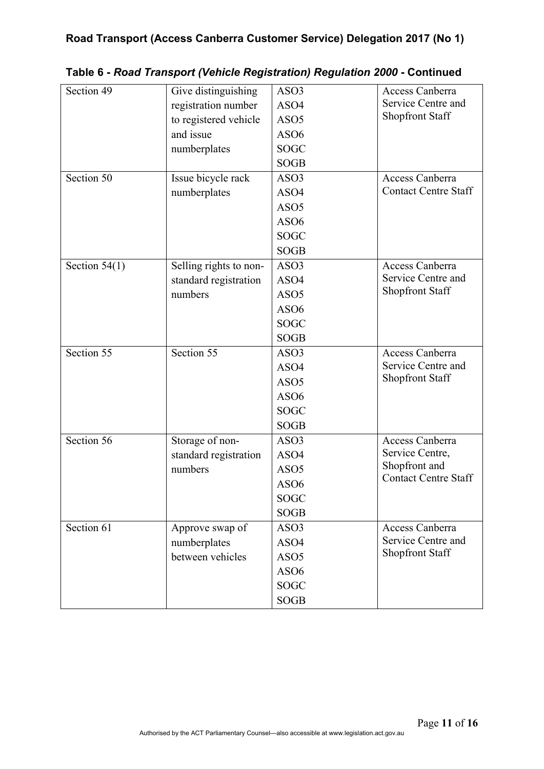| Section 49      | Give distinguishing    | ASO3             | Access Canberra             |
|-----------------|------------------------|------------------|-----------------------------|
|                 | registration number    | ASO4             | Service Centre and          |
|                 | to registered vehicle  | ASO <sub>5</sub> | <b>Shopfront Staff</b>      |
|                 | and issue              | ASO <sub>6</sub> |                             |
|                 | numberplates           | <b>SOGC</b>      |                             |
|                 |                        | <b>SOGB</b>      |                             |
| Section 50      | Issue bicycle rack     | ASO3             | Access Canberra             |
|                 | numberplates           | ASO4             | <b>Contact Centre Staff</b> |
|                 |                        | ASO <sub>5</sub> |                             |
|                 |                        | ASO <sub>6</sub> |                             |
|                 |                        | <b>SOGC</b>      |                             |
|                 |                        | <b>SOGB</b>      |                             |
| Section $54(1)$ | Selling rights to non- | ASO3             | Access Canberra             |
|                 | standard registration  | ASO4             | Service Centre and          |
|                 | numbers                | ASO <sub>5</sub> | <b>Shopfront Staff</b>      |
|                 |                        | ASO <sub>6</sub> |                             |
|                 |                        | <b>SOGC</b>      |                             |
|                 |                        | <b>SOGB</b>      |                             |
| Section 55      | Section 55             | ASO3             | Access Canberra             |
|                 |                        | ASO4             | Service Centre and          |
|                 |                        | ASO <sub>5</sub> | <b>Shopfront Staff</b>      |
|                 |                        | ASO <sub>6</sub> |                             |
|                 |                        | <b>SOGC</b>      |                             |
|                 |                        | <b>SOGB</b>      |                             |
| Section 56      | Storage of non-        | ASO3             | Access Canberra             |
|                 | standard registration  | ASO4             | Service Centre,             |
|                 | numbers                | ASO <sub>5</sub> | Shopfront and               |
|                 |                        | ASO <sub>6</sub> | <b>Contact Centre Staff</b> |
|                 |                        | <b>SOGC</b>      |                             |
|                 |                        | <b>SOGB</b>      |                             |
| Section 61      | Approve swap of        | ASO3             | Access Canberra             |
|                 | numberplates           | ASO4             | Service Centre and          |
|                 | between vehicles       | ASO <sub>5</sub> | <b>Shopfront Staff</b>      |
|                 |                        | ASO6             |                             |
|                 |                        | <b>SOGC</b>      |                             |
|                 |                        | <b>SOGB</b>      |                             |

**Table 6 -** *Road Transport (Vehicle Registration) Regulation 2000* **- Continued**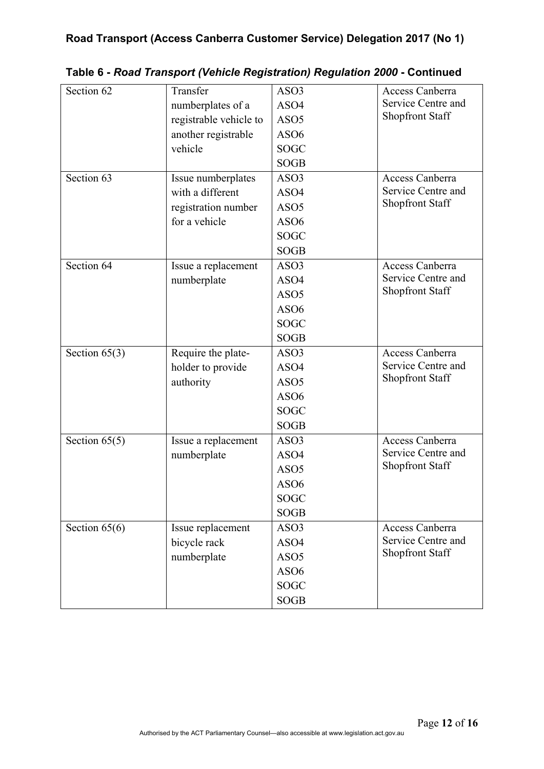| Section 62      | Transfer               | ASO3             | Access Canberra        |
|-----------------|------------------------|------------------|------------------------|
|                 | numberplates of a      | ASO4             | Service Centre and     |
|                 | registrable vehicle to | ASO <sub>5</sub> | <b>Shopfront Staff</b> |
|                 | another registrable    | ASO <sub>6</sub> |                        |
|                 | vehicle                | <b>SOGC</b>      |                        |
|                 |                        | <b>SOGB</b>      |                        |
| Section 63      | Issue numberplates     | ASO3             | Access Canberra        |
|                 | with a different       | ASO4             | Service Centre and     |
|                 | registration number    | ASO <sub>5</sub> | <b>Shopfront Staff</b> |
|                 | for a vehicle          | ASO <sub>6</sub> |                        |
|                 |                        | <b>SOGC</b>      |                        |
|                 |                        | <b>SOGB</b>      |                        |
| Section 64      | Issue a replacement    | ASO3             | Access Canberra        |
|                 | numberplate            | ASO4             | Service Centre and     |
|                 |                        | ASO <sub>5</sub> | <b>Shopfront Staff</b> |
|                 |                        | ASO <sub>6</sub> |                        |
|                 |                        | <b>SOGC</b>      |                        |
|                 |                        | <b>SOGB</b>      |                        |
| Section $65(3)$ | Require the plate-     | ASO3             | Access Canberra        |
|                 | holder to provide      | ASO4             | Service Centre and     |
|                 | authority              | ASO <sub>5</sub> | <b>Shopfront Staff</b> |
|                 |                        | ASO <sub>6</sub> |                        |
|                 |                        | <b>SOGC</b>      |                        |
|                 |                        | <b>SOGB</b>      |                        |
| Section $65(5)$ | Issue a replacement    | ASO3             | Access Canberra        |
|                 | numberplate            | ASO4             | Service Centre and     |
|                 |                        | ASO <sub>5</sub> | <b>Shopfront Staff</b> |
|                 |                        | ASO <sub>6</sub> |                        |
|                 |                        | <b>SOGC</b>      |                        |
|                 |                        | <b>SOGB</b>      |                        |
| Section 65(6)   | Issue replacement      | ASO3             | Access Canberra        |
|                 | bicycle rack           | ASO4             | Service Centre and     |
|                 | numberplate            | ASO <sub>5</sub> | <b>Shopfront Staff</b> |
|                 |                        | ASO <sub>6</sub> |                        |
|                 |                        | <b>SOGC</b>      |                        |
|                 |                        | <b>SOGB</b>      |                        |
|                 |                        |                  |                        |

**Table 6 -** *Road Transport (Vehicle Registration) Regulation 2000* **- Continued**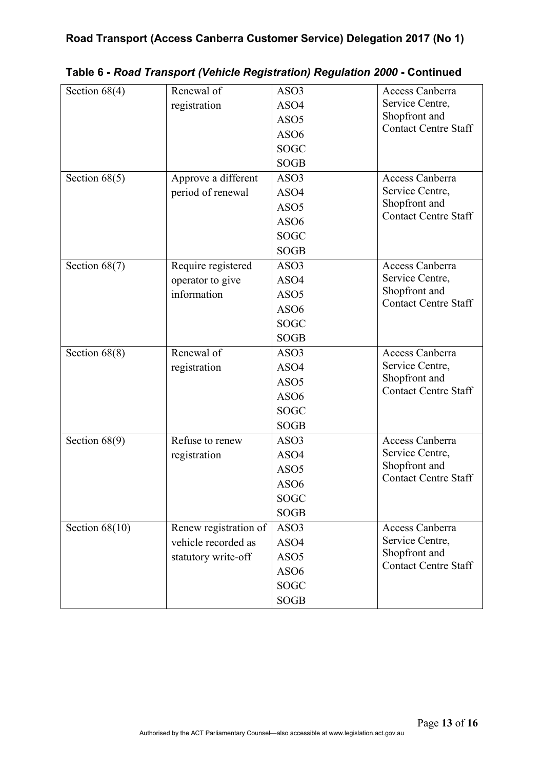| Section $68(4)$  | Renewal of            | ASO3             | Access Canberra             |
|------------------|-----------------------|------------------|-----------------------------|
|                  | registration          | ASO4             | Service Centre,             |
|                  |                       | ASO <sub>5</sub> | Shopfront and               |
|                  |                       | ASO <sub>6</sub> | <b>Contact Centre Staff</b> |
|                  |                       | <b>SOGC</b>      |                             |
|                  |                       | <b>SOGB</b>      |                             |
| Section $68(5)$  | Approve a different   | ASO3             | Access Canberra             |
|                  | period of renewal     | ASO4             | Service Centre,             |
|                  |                       | ASO <sub>5</sub> | Shopfront and               |
|                  |                       | ASO <sub>6</sub> | <b>Contact Centre Staff</b> |
|                  |                       | <b>SOGC</b>      |                             |
|                  |                       | <b>SOGB</b>      |                             |
| Section $68(7)$  | Require registered    | ASO <sub>3</sub> | Access Canberra             |
|                  | operator to give      | ASO4             | Service Centre,             |
|                  | information           | ASO <sub>5</sub> | Shopfront and               |
|                  |                       | ASO <sub>6</sub> | <b>Contact Centre Staff</b> |
|                  |                       | <b>SOGC</b>      |                             |
|                  |                       | <b>SOGB</b>      |                             |
| Section $68(8)$  | Renewal of            | ASO3             | Access Canberra             |
|                  | registration          | ASO4             | Service Centre,             |
|                  |                       | ASO <sub>5</sub> | Shopfront and               |
|                  |                       | ASO <sub>6</sub> | <b>Contact Centre Staff</b> |
|                  |                       | <b>SOGC</b>      |                             |
|                  |                       | <b>SOGB</b>      |                             |
| Section $68(9)$  | Refuse to renew       | ASO3             | Access Canberra             |
|                  | registration          | ASO4             | Service Centre,             |
|                  |                       | ASO <sub>5</sub> | Shopfront and               |
|                  |                       | ASO <sub>6</sub> | <b>Contact Centre Staff</b> |
|                  |                       | SOGC             |                             |
|                  |                       | <b>SOGB</b>      |                             |
| Section $68(10)$ | Renew registration of | ASO3             | Access Canberra             |
|                  | vehicle recorded as   | ASO4             | Service Centre,             |
|                  | statutory write-off   | ASO <sub>5</sub> | Shopfront and               |
|                  |                       | ASO <sub>6</sub> | <b>Contact Centre Staff</b> |
|                  |                       | <b>SOGC</b>      |                             |
|                  |                       | <b>SOGB</b>      |                             |

**Table 6 -** *Road Transport (Vehicle Registration) Regulation 2000* **- Continued**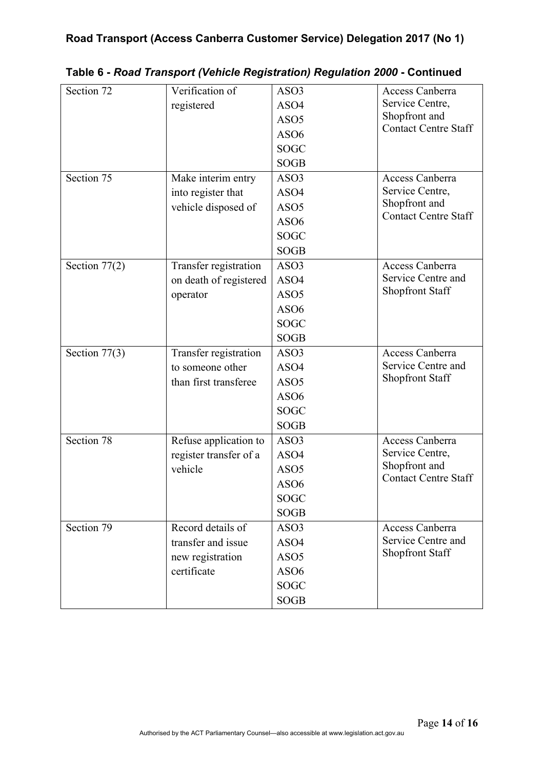| Section 72      | Verification of        | ASO3             | Access Canberra             |
|-----------------|------------------------|------------------|-----------------------------|
|                 | registered             | ASO4             | Service Centre,             |
|                 |                        | ASO <sub>5</sub> | Shopfront and               |
|                 |                        | ASO <sub>6</sub> | <b>Contact Centre Staff</b> |
|                 |                        | <b>SOGC</b>      |                             |
|                 |                        | <b>SOGB</b>      |                             |
| Section 75      | Make interim entry     | ASO3             | Access Canberra             |
|                 | into register that     | ASO4             | Service Centre,             |
|                 | vehicle disposed of    | ASO <sub>5</sub> | Shopfront and               |
|                 |                        | ASO <sub>6</sub> | <b>Contact Centre Staff</b> |
|                 |                        | <b>SOGC</b>      |                             |
|                 |                        | <b>SOGB</b>      |                             |
| Section $77(2)$ | Transfer registration  | ASO3             | Access Canberra             |
|                 | on death of registered | ASO4             | Service Centre and          |
|                 | operator               | ASO <sub>5</sub> | <b>Shopfront Staff</b>      |
|                 |                        | ASO <sub>6</sub> |                             |
|                 |                        | <b>SOGC</b>      |                             |
|                 |                        | <b>SOGB</b>      |                             |
| Section $77(3)$ | Transfer registration  | ASO3             | Access Canberra             |
|                 | to someone other       | ASO4             | Service Centre and          |
|                 | than first transferee  | ASO <sub>5</sub> | Shopfront Staff             |
|                 |                        | ASO <sub>6</sub> |                             |
|                 |                        | <b>SOGC</b>      |                             |
|                 |                        | <b>SOGB</b>      |                             |
| Section 78      | Refuse application to  | ASO3             | Access Canberra             |
|                 | register transfer of a | ASO4             | Service Centre,             |
|                 | vehicle                | ASO <sub>5</sub> | Shopfront and               |
|                 |                        | ASO <sub>6</sub> | <b>Contact Centre Staff</b> |
|                 |                        | <b>SOGC</b>      |                             |
|                 |                        | <b>SOGB</b>      |                             |
| Section 79      | Record details of      | ASO3             | Access Canberra             |
|                 | transfer and issue     | ASO4             | Service Centre and          |
|                 | new registration       | ASO <sub>5</sub> | <b>Shopfront Staff</b>      |
|                 | certificate            | ASO <sub>6</sub> |                             |
|                 |                        | <b>SOGC</b>      |                             |
|                 |                        | <b>SOGB</b>      |                             |

**Table 6 -** *Road Transport (Vehicle Registration) Regulation 2000* **- Continued**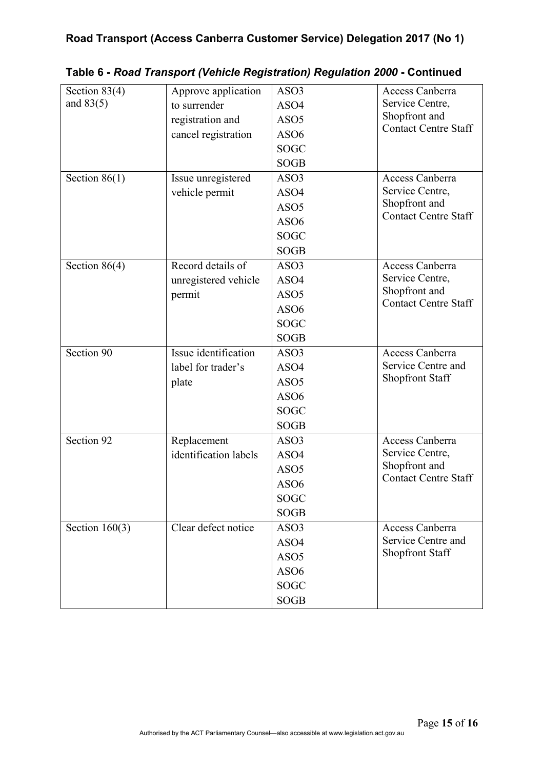| Section $83(4)$  | Approve application   | ASO3             | Access Canberra             |
|------------------|-----------------------|------------------|-----------------------------|
| and $83(5)$      | to surrender          | ASO4             | Service Centre,             |
|                  | registration and      | ASO <sub>5</sub> | Shopfront and               |
|                  | cancel registration   | ASO <sub>6</sub> | <b>Contact Centre Staff</b> |
|                  |                       | <b>SOGC</b>      |                             |
|                  |                       | <b>SOGB</b>      |                             |
| Section $86(1)$  | Issue unregistered    | ASO3             | Access Canberra             |
|                  | vehicle permit        | ASO4             | Service Centre,             |
|                  |                       | ASO <sub>5</sub> | Shopfront and               |
|                  |                       | ASO <sub>6</sub> | <b>Contact Centre Staff</b> |
|                  |                       | <b>SOGC</b>      |                             |
|                  |                       | <b>SOGB</b>      |                             |
| Section $86(4)$  | Record details of     | ASO3             | Access Canberra             |
|                  | unregistered vehicle  | ASO4             | Service Centre,             |
|                  | permit                | ASO <sub>5</sub> | Shopfront and               |
|                  |                       | ASO <sub>6</sub> | <b>Contact Centre Staff</b> |
|                  |                       | <b>SOGC</b>      |                             |
|                  |                       | <b>SOGB</b>      |                             |
| Section 90       | Issue identification  | ASO3             | Access Canberra             |
|                  | label for trader's    | ASO4             | Service Centre and          |
|                  | plate                 | ASO <sub>5</sub> | Shopfront Staff             |
|                  |                       | ASO <sub>6</sub> |                             |
|                  |                       | <b>SOGC</b>      |                             |
|                  |                       | <b>SOGB</b>      |                             |
| Section 92       | Replacement           | ASO3             | Access Canberra             |
|                  | identification labels | ASO4             | Service Centre,             |
|                  |                       | ASO <sub>5</sub> | Shopfront and               |
|                  |                       | ASO <sub>6</sub> | <b>Contact Centre Staff</b> |
|                  |                       | SOGC             |                             |
|                  |                       | <b>SOGB</b>      |                             |
| Section $160(3)$ | Clear defect notice   | ASO3             | Access Canberra             |
|                  |                       | ASO4             | Service Centre and          |
|                  |                       | ASO <sub>5</sub> | <b>Shopfront Staff</b>      |
|                  |                       | ASO <sub>6</sub> |                             |
|                  |                       | SOGC             |                             |
|                  |                       | <b>SOGB</b>      |                             |

**Table 6 -** *Road Transport (Vehicle Registration) Regulation 2000* **- Continued**